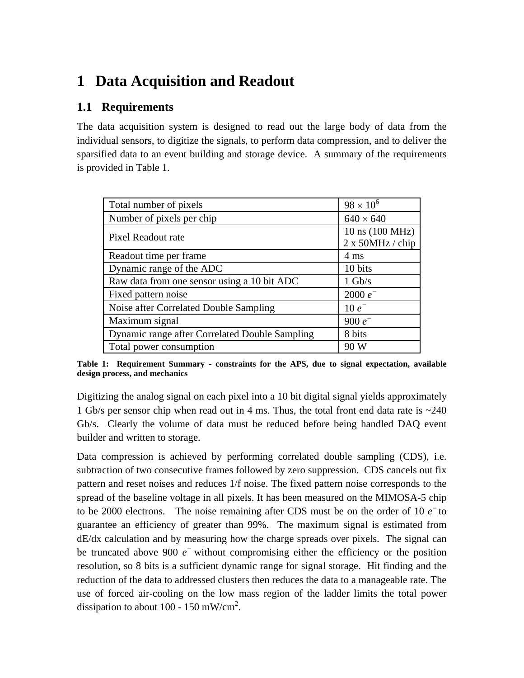# **1 Data Acquisition and Readout**

## **1.1 Requirements**

The data acquisition system is designed to read out the large body of data from the individual sensors, to digitize the signals, to perform data compression, and to deliver the sparsified data to an event building and storage device. A summary of the requirements is provided in Table 1.

| Total number of pixels                         | $98 \times 10^{6}$                   |
|------------------------------------------------|--------------------------------------|
| Number of pixels per chip                      | $640 \times 640$                     |
| Pixel Readout rate                             | 10 ns (100 MHz)<br>2 x 50 MHz / chip |
| Readout time per frame                         | $4 \text{ ms}$                       |
| Dynamic range of the ADC                       | 10 bits                              |
| Raw data from one sensor using a 10 bit ADC    | $1 \text{Gb/s}$                      |
| Fixed pattern noise                            | 2000 $e^-$                           |
| Noise after Correlated Double Sampling         | $10e^{-}$                            |
| Maximum signal                                 | 900 $e^-$                            |
| Dynamic range after Correlated Double Sampling | 8 bits                               |
| Total power consumption                        | 90 W                                 |

**Table 1: Requirement Summary - constraints for the APS, due to signal expectation, available design process, and mechanics**

Digitizing the analog signal on each pixel into a 10 bit digital signal yields approximately 1 Gb/s per sensor chip when read out in 4 ms. Thus, the total front end data rate is  $\sim$  240 Gb/s. Clearly the volume of data must be reduced before being handled DAQ event builder and written to storage.

Data compression is achieved by performing correlated double sampling (CDS), i.e. subtraction of two consecutive frames followed by zero suppression. CDS cancels out fix pattern and reset noises and reduces 1/f noise. The fixed pattern noise corresponds to the spread of the baseline voltage in all pixels. It has been measured on the MIMOSA-5 chip to be 2000 electrons. The noise remaining after CDS must be on the order of 10  $e^-$  to guarantee an efficiency of greater than 99%. The maximum signal is estimated from dE/dx calculation and by measuring how the charge spreads over pixels. The signal can be truncated above 900  $e^-$  without compromising either the efficiency or the position resolution, so 8 bits is a sufficient dynamic range for signal storage. Hit finding and the reduction of the data to addressed clusters then reduces the data to a manageable rate. The use of forced air-cooling on the low mass region of the ladder limits the total power dissipation to about 100 - 150 mW/cm<sup>2</sup>.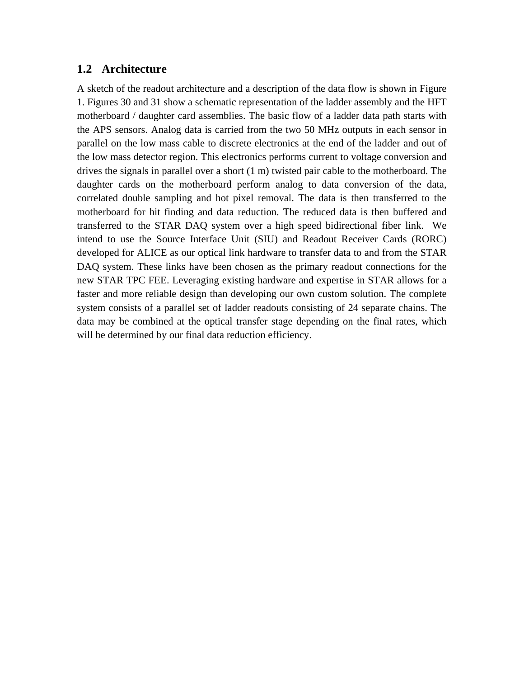#### **1.2 Architecture**

A sketch of the readout architecture and a description of the data flow is shown in Figure 1. Figures 30 and 31 show a schematic representation of the ladder assembly and the HFT motherboard / daughter card assemblies. The basic flow of a ladder data path starts with the APS sensors. Analog data is carried from the two 50 MHz outputs in each sensor in parallel on the low mass cable to discrete electronics at the end of the ladder and out of the low mass detector region. This electronics performs current to voltage conversion and drives the signals in parallel over a short (1 m) twisted pair cable to the motherboard. The daughter cards on the motherboard perform analog to data conversion of the data, correlated double sampling and hot pixel removal. The data is then transferred to the motherboard for hit finding and data reduction. The reduced data is then buffered and transferred to the STAR DAQ system over a high speed bidirectional fiber link. We intend to use the Source Interface Unit (SIU) and Readout Receiver Cards (RORC) developed for ALICE as our optical link hardware to transfer data to and from the STAR DAQ system. These links have been chosen as the primary readout connections for the new STAR TPC FEE. Leveraging existing hardware and expertise in STAR allows for a faster and more reliable design than developing our own custom solution. The complete system consists of a parallel set of ladder readouts consisting of 24 separate chains. The data may be combined at the optical transfer stage depending on the final rates, which will be determined by our final data reduction efficiency.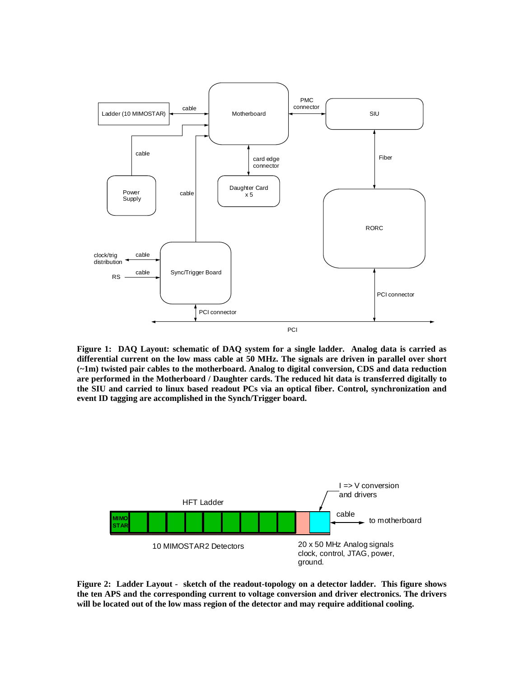

**Figure 1: DAQ Layout: schematic of DAQ system for a single ladder. Analog data is carried as differential current on the low mass cable at 50 MHz. The signals are driven in parallel over short (~1m) twisted pair cables to the motherboard. Analog to digital conversion, CDS and data reduction are performed in the Motherboard / Daughter cards. The reduced hit data is transferred digitally to the SIU and carried to linux based readout PCs via an optical fiber. Control, synchronization and event ID tagging are accomplished in the Synch/Trigger board.** 



**Figure 2: Ladder Layout - sketch of the readout-topology on a detector ladder. This figure shows the ten APS and the corresponding current to voltage conversion and driver electronics. The drivers will be located out of the low mass region of the detector and may require additional cooling.**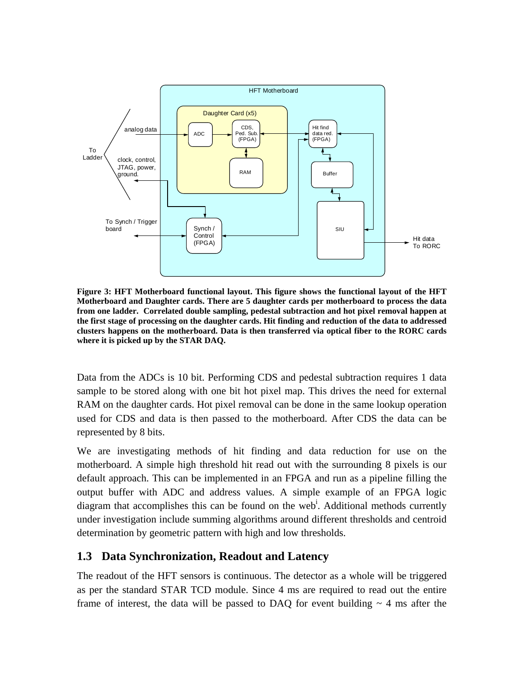

**Figure 3: HFT Motherboard functional layout. This figure shows the functional layout of the HFT Motherboard and Daughter cards. There are 5 daughter cards per motherboard to process the data from one ladder. Correlated double sampling, pedestal subtraction and hot pixel removal happen at the first stage of processing on the daughter cards. Hit finding and reduction of the data to addressed clusters happens on the motherboard. Data is then transferred via optical fiber to the RORC cards where it is picked up by the STAR DAQ.** 

Data from the ADCs is 10 bit. Performing CDS and pedestal subtraction requires 1 data sample to be stored along with one bit hot pixel map. This drives the need for external RAM on the daughter cards. Hot pixel removal can be done in the same lookup operation used for CDS and data is then passed to the motherboard. After CDS the data can be represented by 8 bits.

We are investigating methods of hit finding and data reduction for use on the motherboard. A simple high threshold hit read out with the surrounding 8 pixels is our default approach. This can be implemented in an FPGA and run as a pipeline filling the output buffer with ADC and address values. A simple example of an FPGA logic diagram that accomplishes this can be found on the web<sup>i</sup>. Additional methods currently under investigation include summing algorithms around different thresholds and centroid determination by geometric pattern with high and low thresholds.

## **1.3 Data Synchronization, Readout and Latency**

The readout of the HFT sensors is continuous. The detector as a whole will be triggered as per the standard STAR TCD module. Since 4 ms are required to read out the entire frame of interest, the data will be passed to DAQ for event building  $\sim$  4 ms after the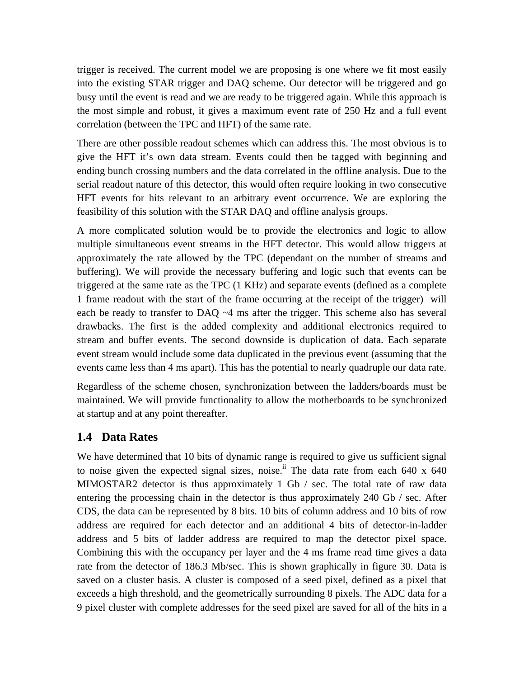trigger is received. The current model we are proposing is one where we fit most easily into the existing STAR trigger and DAQ scheme. Our detector will be triggered and go busy until the event is read and we are ready to be triggered again. While this approach is the most simple and robust, it gives a maximum event rate of 250 Hz and a full event correlation (between the TPC and HFT) of the same rate.

There are other possible readout schemes which can address this. The most obvious is to give the HFT it's own data stream. Events could then be tagged with beginning and ending bunch crossing numbers and the data correlated in the offline analysis. Due to the serial readout nature of this detector, this would often require looking in two consecutive HFT events for hits relevant to an arbitrary event occurrence. We are exploring the feasibility of this solution with the STAR DAQ and offline analysis groups.

A more complicated solution would be to provide the electronics and logic to allow multiple simultaneous event streams in the HFT detector. This would allow triggers at approximately the rate allowed by the TPC (dependant on the number of streams and buffering). We will provide the necessary buffering and logic such that events can be triggered at the same rate as the TPC (1 KHz) and separate events (defined as a complete 1 frame readout with the start of the frame occurring at the receipt of the trigger) will each be ready to transfer to DAQ  $\sim$ 4 ms after the trigger. This scheme also has several drawbacks. The first is the added complexity and additional electronics required to stream and buffer events. The second downside is duplication of data. Each separate event stream would include some data duplicated in the previous event (assuming that the events came less than 4 ms apart). This has the potential to nearly quadruple our data rate.

Regardless of the scheme chosen, synchronization between the ladders/boards must be maintained. We will provide functionality to allow the motherboards to be synchronized at startup and at any point thereafter.

### **1.4 Data Rates**

We have determined that 10 bits of dynamic range is required to give us sufficient signal to noise given the expected signal sizes, noise.<sup>ii</sup> The data rate from each 640 x 640 MIMOSTAR2 detector is thus approximately 1 Gb / sec. The total rate of raw data entering the processing chain in the detector is thus approximately 240 Gb / sec. After CDS, the data can be represented by 8 bits. 10 bits of column address and 10 bits of row address are required for each detector and an additional 4 bits of detector-in-ladder address and 5 bits of ladder address are required to map the detector pixel space. Combining this with the occupancy per layer and the 4 ms frame read time gives a data rate from the detector of 186.3 Mb/sec. This is shown graphically in figure 30. Data is saved on a cluster basis. A cluster is composed of a seed pixel, defined as a pixel that exceeds a high threshold, and the geometrically surrounding 8 pixels. The ADC data for a 9 pixel cluster with complete addresses for the seed pixel are saved for all of the hits in a